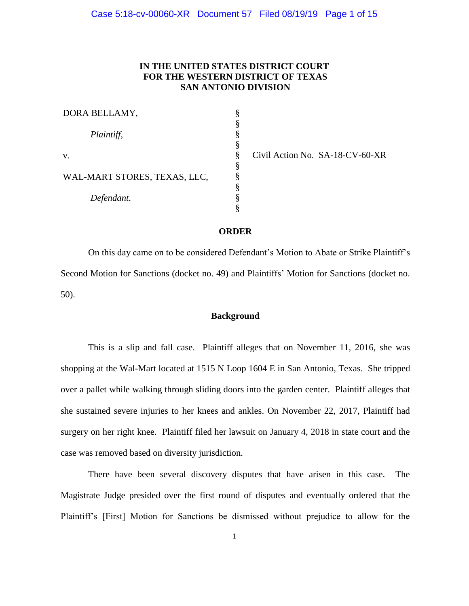## **IN THE UNITED STATES DISTRICT COURT FOR THE WESTERN DISTRICT OF TEXAS SAN ANTONIO DIVISION**

| DORA BELLAMY,                |   |
|------------------------------|---|
|                              | § |
| Plaintiff,                   | § |
|                              |   |
| v.                           |   |
|                              | § |
| WAL-MART STORES, TEXAS, LLC, | § |
|                              | § |
| Defendant.                   | § |
|                              |   |

Civil Action No. SA-18-CV-60-XR

#### **ORDER**

On this day came on to be considered Defendant's Motion to Abate or Strike Plaintiff's Second Motion for Sanctions (docket no. 49) and Plaintiffs' Motion for Sanctions (docket no. 50).

## **Background**

This is a slip and fall case. Plaintiff alleges that on November 11, 2016, she was shopping at the Wal-Mart located at 1515 N Loop 1604 E in San Antonio, Texas. She tripped over a pallet while walking through sliding doors into the garden center. Plaintiff alleges that she sustained severe injuries to her knees and ankles. On November 22, 2017, Plaintiff had surgery on her right knee. Plaintiff filed her lawsuit on January 4, 2018 in state court and the case was removed based on diversity jurisdiction.

There have been several discovery disputes that have arisen in this case. The Magistrate Judge presided over the first round of disputes and eventually ordered that the Plaintiff's [First] Motion for Sanctions be dismissed without prejudice to allow for the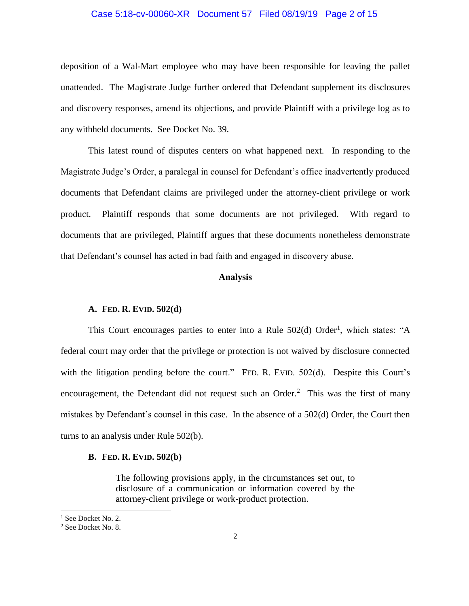## Case 5:18-cv-00060-XR Document 57 Filed 08/19/19 Page 2 of 15

deposition of a Wal-Mart employee who may have been responsible for leaving the pallet unattended. The Magistrate Judge further ordered that Defendant supplement its disclosures and discovery responses, amend its objections, and provide Plaintiff with a privilege log as to any withheld documents. See Docket No. 39.

This latest round of disputes centers on what happened next. In responding to the Magistrate Judge's Order, a paralegal in counsel for Defendant's office inadvertently produced documents that Defendant claims are privileged under the attorney-client privilege or work product. Plaintiff responds that some documents are not privileged. With regard to documents that are privileged, Plaintiff argues that these documents nonetheless demonstrate that Defendant's counsel has acted in bad faith and engaged in discovery abuse.

## **Analysis**

#### **A. FED. R. EVID. 502(d)**

This Court encourages parties to enter into a Rule  $502(d)$  Order<sup>1</sup>, which states: "A federal court may order that the privilege or protection is not waived by disclosure connected with the litigation pending before the court." FED. R. EVID. 502(d). Despite this Court's encouragement, the Defendant did not request such an Order.<sup>2</sup> This was the first of many mistakes by Defendant's counsel in this case. In the absence of a 502(d) Order, the Court then turns to an analysis under Rule 502(b).

#### **B. FED. R. EVID. 502(b)**

The following provisions apply, in the circumstances set out, to disclosure of a communication or information covered by the attorney-client privilege or work-product protection.

 $\overline{a}$ 

<sup>&</sup>lt;sup>1</sup> See Docket No. 2.

<sup>2</sup> See Docket No. 8.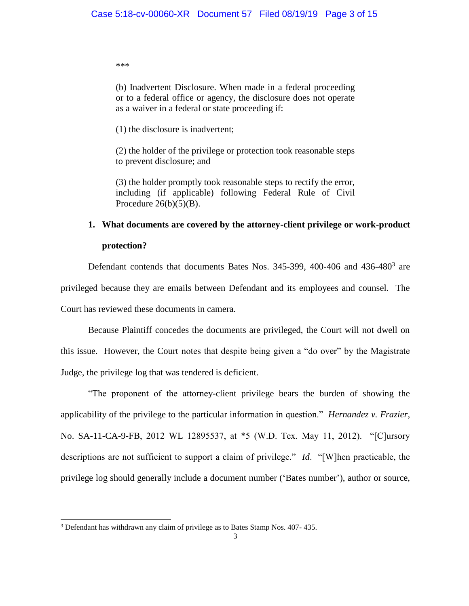\*\*\*

(b) Inadvertent Disclosure. When made in a federal proceeding or to a federal office or agency, the disclosure does not operate as a waiver in a federal or state proceeding if:

(1) the disclosure is inadvertent;

(2) the holder of the privilege or protection took reasonable steps to prevent disclosure; and

(3) the holder promptly took reasonable steps to rectify the error, including (if applicable) following Federal Rule of Civil Procedure  $26(b)(5)(B)$ .

# **1. What documents are covered by the attorney-client privilege or work-product protection?**

Defendant contends that documents Bates Nos. 345-399, 400-406 and  $436-480^3$  are privileged because they are emails between Defendant and its employees and counsel. The Court has reviewed these documents in camera.

Because Plaintiff concedes the documents are privileged, the Court will not dwell on this issue. However, the Court notes that despite being given a "do over" by the Magistrate Judge, the privilege log that was tendered is deficient.

"The proponent of the attorney-client privilege bears the burden of showing the applicability of the privilege to the particular information in question." *Hernandez v. Frazier*, No. SA-11-CA-9-FB, 2012 WL 12895537, at \*5 (W.D. Tex. May 11, 2012). "[C]ursory descriptions are not sufficient to support a claim of privilege." *Id*. "[W]hen practicable, the privilege log should generally include a document number ('Bates number'), author or source,

<sup>3</sup> Defendant has withdrawn any claim of privilege as to Bates Stamp Nos. 407- 435.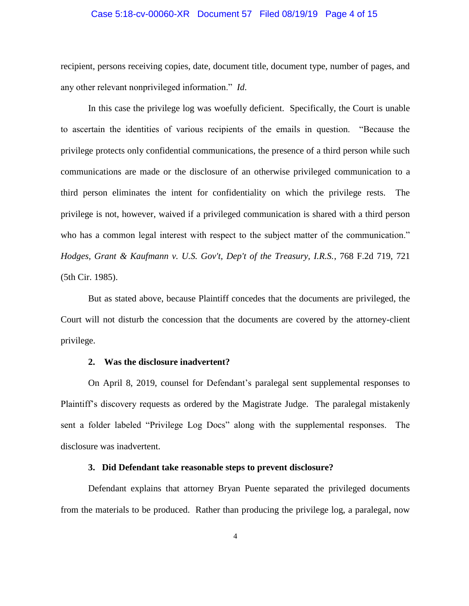## Case 5:18-cv-00060-XR Document 57 Filed 08/19/19 Page 4 of 15

recipient, persons receiving copies, date, document title, document type, number of pages, and any other relevant nonprivileged information." *Id*.

In this case the privilege log was woefully deficient. Specifically, the Court is unable to ascertain the identities of various recipients of the emails in question. "Because the privilege protects only confidential communications, the presence of a third person while such communications are made or the disclosure of an otherwise privileged communication to a third person eliminates the intent for confidentiality on which the privilege rests. The privilege is not, however, waived if a privileged communication is shared with a third person who has a common legal interest with respect to the subject matter of the communication." *Hodges, Grant & Kaufmann v. U.S. Gov't, Dep't of the Treasury, I.R.S.*, 768 F.2d 719, 721 (5th Cir. 1985).

But as stated above, because Plaintiff concedes that the documents are privileged, the Court will not disturb the concession that the documents are covered by the attorney-client privilege.

#### **2. Was the disclosure inadvertent?**

On April 8, 2019, counsel for Defendant's paralegal sent supplemental responses to Plaintiff's discovery requests as ordered by the Magistrate Judge. The paralegal mistakenly sent a folder labeled "Privilege Log Docs" along with the supplemental responses. The disclosure was inadvertent.

#### **3. Did Defendant take reasonable steps to prevent disclosure?**

Defendant explains that attorney Bryan Puente separated the privileged documents from the materials to be produced. Rather than producing the privilege log, a paralegal, now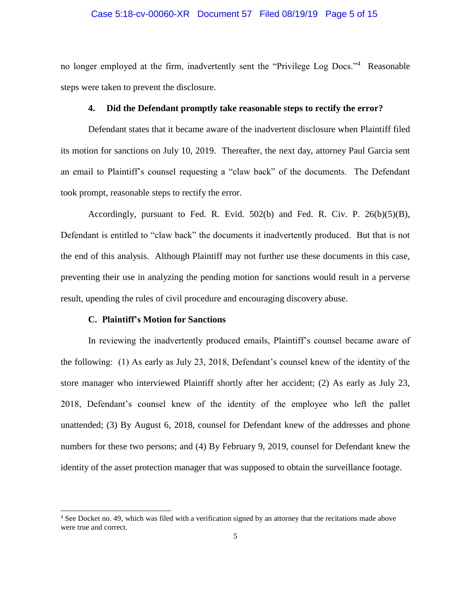### Case 5:18-cv-00060-XR Document 57 Filed 08/19/19 Page 5 of 15

no longer employed at the firm, inadvertently sent the "Privilege Log Docs."<sup>4</sup> Reasonable steps were taken to prevent the disclosure.

#### **4. Did the Defendant promptly take reasonable steps to rectify the error?**

Defendant states that it became aware of the inadvertent disclosure when Plaintiff filed its motion for sanctions on July 10, 2019. Thereafter, the next day, attorney Paul Garcia sent an email to Plaintiff's counsel requesting a "claw back" of the documents. The Defendant took prompt, reasonable steps to rectify the error.

Accordingly, pursuant to Fed. R. Evid. 502(b) and Fed. R. Civ. P. 26(b)(5)(B), Defendant is entitled to "claw back" the documents it inadvertently produced. But that is not the end of this analysis. Although Plaintiff may not further use these documents in this case, preventing their use in analyzing the pending motion for sanctions would result in a perverse result, upending the rules of civil procedure and encouraging discovery abuse.

## **C. Plaintiff's Motion for Sanctions**

 $\overline{\phantom{a}}$ 

In reviewing the inadvertently produced emails, Plaintiff's counsel became aware of the following: (1) As early as July 23, 2018, Defendant's counsel knew of the identity of the store manager who interviewed Plaintiff shortly after her accident; (2) As early as July 23, 2018, Defendant's counsel knew of the identity of the employee who left the pallet unattended; (3) By August 6, 2018, counsel for Defendant knew of the addresses and phone numbers for these two persons; and (4) By February 9, 2019, counsel for Defendant knew the identity of the asset protection manager that was supposed to obtain the surveillance footage.

<sup>4</sup> See Docket no. 49, which was filed with a verification signed by an attorney that the recitations made above were true and correct.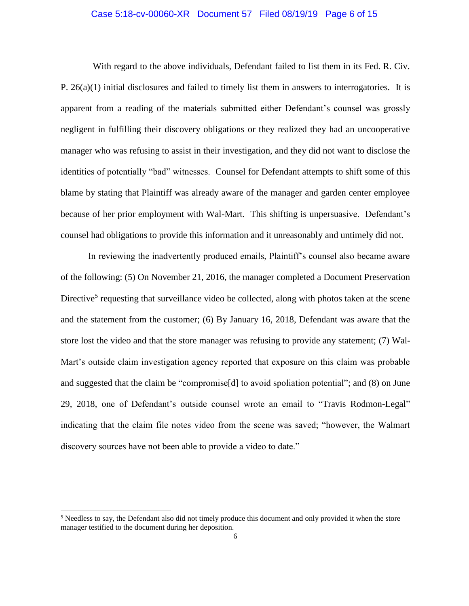## Case 5:18-cv-00060-XR Document 57 Filed 08/19/19 Page 6 of 15

 With regard to the above individuals, Defendant failed to list them in its Fed. R. Civ. P.  $26(a)(1)$  initial disclosures and failed to timely list them in answers to interrogatories. It is apparent from a reading of the materials submitted either Defendant's counsel was grossly negligent in fulfilling their discovery obligations or they realized they had an uncooperative manager who was refusing to assist in their investigation, and they did not want to disclose the identities of potentially "bad" witnesses. Counsel for Defendant attempts to shift some of this blame by stating that Plaintiff was already aware of the manager and garden center employee because of her prior employment with Wal-Mart. This shifting is unpersuasive. Defendant's counsel had obligations to provide this information and it unreasonably and untimely did not.

In reviewing the inadvertently produced emails, Plaintiff's counsel also became aware of the following: (5) On November 21, 2016, the manager completed a Document Preservation Directive<sup>5</sup> requesting that surveillance video be collected, along with photos taken at the scene and the statement from the customer; (6) By January 16, 2018, Defendant was aware that the store lost the video and that the store manager was refusing to provide any statement; (7) Wal-Mart's outside claim investigation agency reported that exposure on this claim was probable and suggested that the claim be "compromise[d] to avoid spoliation potential"; and (8) on June 29, 2018, one of Defendant's outside counsel wrote an email to "Travis Rodmon-Legal" indicating that the claim file notes video from the scene was saved; "however, the Walmart discovery sources have not been able to provide a video to date."

<sup>&</sup>lt;sup>5</sup> Needless to say, the Defendant also did not timely produce this document and only provided it when the store manager testified to the document during her deposition.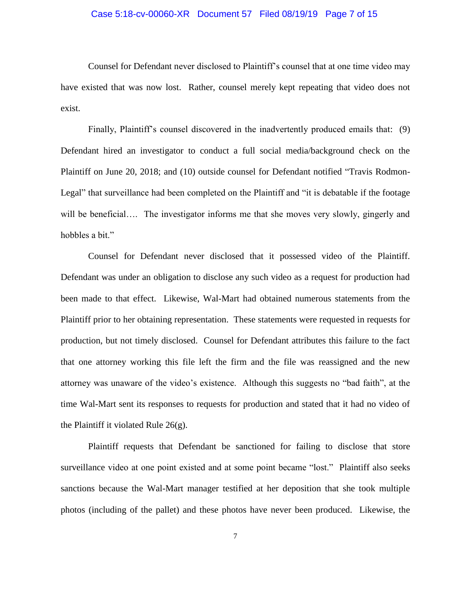## Case 5:18-cv-00060-XR Document 57 Filed 08/19/19 Page 7 of 15

Counsel for Defendant never disclosed to Plaintiff's counsel that at one time video may have existed that was now lost. Rather, counsel merely kept repeating that video does not exist.

Finally, Plaintiff's counsel discovered in the inadvertently produced emails that: (9) Defendant hired an investigator to conduct a full social media/background check on the Plaintiff on June 20, 2018; and (10) outside counsel for Defendant notified "Travis Rodmon-Legal" that surveillance had been completed on the Plaintiff and "it is debatable if the footage will be beneficial…. The investigator informs me that she moves very slowly, gingerly and hobbles a bit."

Counsel for Defendant never disclosed that it possessed video of the Plaintiff. Defendant was under an obligation to disclose any such video as a request for production had been made to that effect. Likewise, Wal-Mart had obtained numerous statements from the Plaintiff prior to her obtaining representation. These statements were requested in requests for production, but not timely disclosed. Counsel for Defendant attributes this failure to the fact that one attorney working this file left the firm and the file was reassigned and the new attorney was unaware of the video's existence. Although this suggests no "bad faith", at the time Wal-Mart sent its responses to requests for production and stated that it had no video of the Plaintiff it violated Rule 26(g).

Plaintiff requests that Defendant be sanctioned for failing to disclose that store surveillance video at one point existed and at some point became "lost." Plaintiff also seeks sanctions because the Wal-Mart manager testified at her deposition that she took multiple photos (including of the pallet) and these photos have never been produced. Likewise, the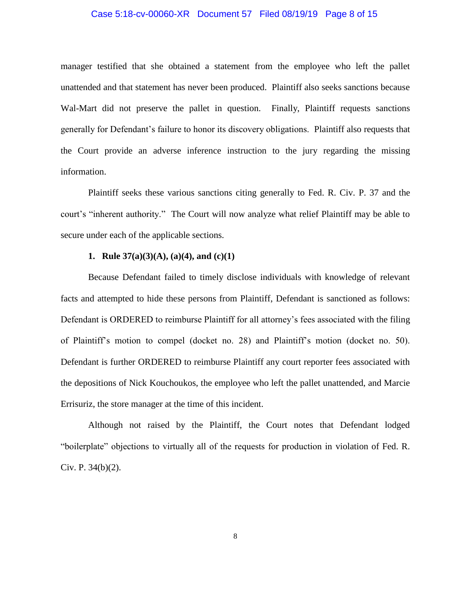#### Case 5:18-cv-00060-XR Document 57 Filed 08/19/19 Page 8 of 15

manager testified that she obtained a statement from the employee who left the pallet unattended and that statement has never been produced. Plaintiff also seeks sanctions because Wal-Mart did not preserve the pallet in question. Finally, Plaintiff requests sanctions generally for Defendant's failure to honor its discovery obligations. Plaintiff also requests that the Court provide an adverse inference instruction to the jury regarding the missing information.

Plaintiff seeks these various sanctions citing generally to Fed. R. Civ. P. 37 and the court's "inherent authority." The Court will now analyze what relief Plaintiff may be able to secure under each of the applicable sections.

## **1. Rule 37(a)(3)(A), (a)(4), and (c)(1)**

Because Defendant failed to timely disclose individuals with knowledge of relevant facts and attempted to hide these persons from Plaintiff, Defendant is sanctioned as follows: Defendant is ORDERED to reimburse Plaintiff for all attorney's fees associated with the filing of Plaintiff's motion to compel (docket no. 28) and Plaintiff's motion (docket no. 50). Defendant is further ORDERED to reimburse Plaintiff any court reporter fees associated with the depositions of Nick Kouchoukos, the employee who left the pallet unattended, and Marcie Errisuriz, the store manager at the time of this incident.

Although not raised by the Plaintiff, the Court notes that Defendant lodged "boilerplate" objections to virtually all of the requests for production in violation of Fed. R. Civ. P. 34(b)(2).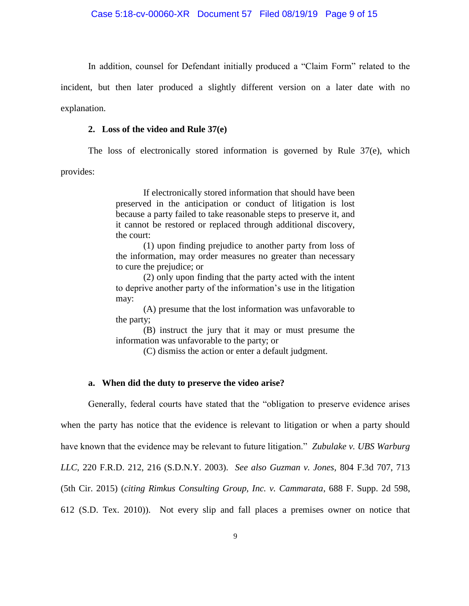In addition, counsel for Defendant initially produced a "Claim Form" related to the

incident, but then later produced a slightly different version on a later date with no

explanation.

#### **2. Loss of the video and Rule 37(e)**

The loss of electronically stored information is governed by Rule 37(e), which

provides:

If electronically stored information that should have been preserved in the anticipation or conduct of litigation is lost because a party failed to take reasonable steps to preserve it, and it cannot be restored or replaced through additional discovery, the court:

(1) upon finding prejudice to another party from loss of the information, may order measures no greater than necessary to cure the prejudice; or

(2) only upon finding that the party acted with the intent to deprive another party of the information's use in the litigation may:

(A) presume that the lost information was unfavorable to the party;

(B) instruct the jury that it may or must presume the information was unfavorable to the party; or

(C) dismiss the action or enter a default judgment.

## **a. When did the duty to preserve the video arise?**

Generally, federal courts have stated that the "obligation to preserve evidence arises when the party has notice that the evidence is relevant to litigation or when a party should have known that the evidence may be relevant to future litigation." *Zubulake v. UBS Warburg LLC*, 220 F.R.D. 212, 216 (S.D.N.Y. 2003). *See also Guzman v. Jones*, 804 F.3d 707, 713 (5th Cir. 2015) (*citing Rimkus Consulting Group, Inc. v. Cammarata*, 688 F. Supp. 2d 598, 612 (S.D. Tex. 2010)). Not every slip and fall places a premises owner on notice that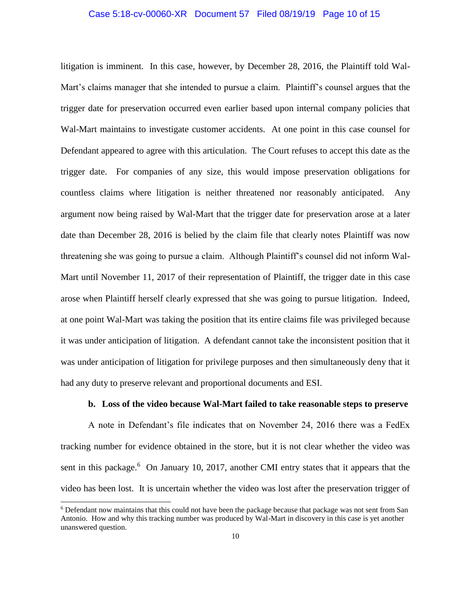## Case 5:18-cv-00060-XR Document 57 Filed 08/19/19 Page 10 of 15

litigation is imminent. In this case, however, by December 28, 2016, the Plaintiff told Wal-Mart's claims manager that she intended to pursue a claim. Plaintiff's counsel argues that the trigger date for preservation occurred even earlier based upon internal company policies that Wal-Mart maintains to investigate customer accidents. At one point in this case counsel for Defendant appeared to agree with this articulation. The Court refuses to accept this date as the trigger date. For companies of any size, this would impose preservation obligations for countless claims where litigation is neither threatened nor reasonably anticipated. Any argument now being raised by Wal-Mart that the trigger date for preservation arose at a later date than December 28, 2016 is belied by the claim file that clearly notes Plaintiff was now threatening she was going to pursue a claim. Although Plaintiff's counsel did not inform Wal-Mart until November 11, 2017 of their representation of Plaintiff, the trigger date in this case arose when Plaintiff herself clearly expressed that she was going to pursue litigation. Indeed, at one point Wal-Mart was taking the position that its entire claims file was privileged because it was under anticipation of litigation. A defendant cannot take the inconsistent position that it was under anticipation of litigation for privilege purposes and then simultaneously deny that it had any duty to preserve relevant and proportional documents and ESI.

#### **b. Loss of the video because Wal-Mart failed to take reasonable steps to preserve**

A note in Defendant's file indicates that on November 24, 2016 there was a FedEx tracking number for evidence obtained in the store, but it is not clear whether the video was sent in this package.<sup>6</sup> On January 10, 2017, another CMI entry states that it appears that the video has been lost. It is uncertain whether the video was lost after the preservation trigger of

<sup>6</sup> Defendant now maintains that this could not have been the package because that package was not sent from San Antonio. How and why this tracking number was produced by Wal-Mart in discovery in this case is yet another unanswered question.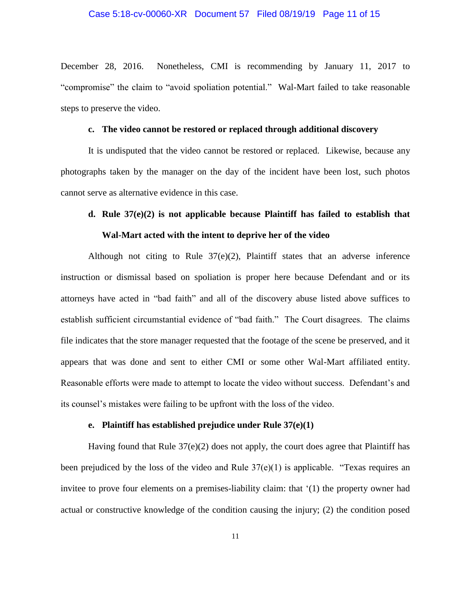#### Case 5:18-cv-00060-XR Document 57 Filed 08/19/19 Page 11 of 15

December 28, 2016. Nonetheless, CMI is recommending by January 11, 2017 to "compromise" the claim to "avoid spoliation potential." Wal-Mart failed to take reasonable steps to preserve the video.

#### **c. The video cannot be restored or replaced through additional discovery**

It is undisputed that the video cannot be restored or replaced. Likewise, because any photographs taken by the manager on the day of the incident have been lost, such photos cannot serve as alternative evidence in this case.

## **d. Rule 37(e)(2) is not applicable because Plaintiff has failed to establish that Wal-Mart acted with the intent to deprive her of the video**

Although not citing to Rule 37(e)(2), Plaintiff states that an adverse inference instruction or dismissal based on spoliation is proper here because Defendant and or its attorneys have acted in "bad faith" and all of the discovery abuse listed above suffices to establish sufficient circumstantial evidence of "bad faith." The Court disagrees. The claims file indicates that the store manager requested that the footage of the scene be preserved, and it appears that was done and sent to either CMI or some other Wal-Mart affiliated entity. Reasonable efforts were made to attempt to locate the video without success. Defendant's and its counsel's mistakes were failing to be upfront with the loss of the video.

#### **e. Plaintiff has established prejudice under Rule 37(e)(1)**

Having found that Rule  $37(e)(2)$  does not apply, the court does agree that Plaintiff has been prejudiced by the loss of the video and Rule 37(e)(1) is applicable. "Texas requires an invitee to prove four elements on a premises-liability claim: that '(1) the property owner had actual or constructive knowledge of the condition causing the injury; (2) the condition posed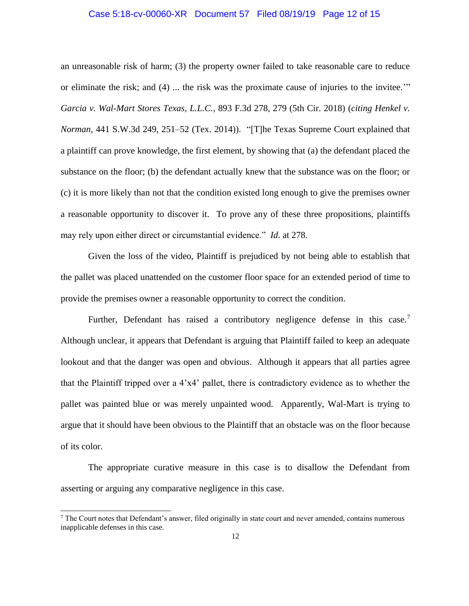### Case 5:18-cv-00060-XR Document 57 Filed 08/19/19 Page 12 of 15

an unreasonable risk of harm; (3) the property owner failed to take reasonable care to reduce or eliminate the risk; and (4) ... the risk was the proximate cause of injuries to the invitee.'" *Garcia v. Wal-Mart Stores Texas, L.L.C.*, 893 F.3d 278, 279 (5th Cir. 2018) (*citing Henkel v. Norman*, 441 S.W.3d 249, 251–52 (Tex. 2014)). "[T]he Texas Supreme Court explained that a plaintiff can prove knowledge, the first element, by showing that (a) the defendant placed the substance on the floor; (b) the defendant actually knew that the substance was on the floor; or (c) it is more likely than not that the condition existed long enough to give the premises owner a reasonable opportunity to discover it. To prove any of these three propositions, plaintiffs may rely upon either direct or circumstantial evidence." *Id*. at 278.

Given the loss of the video, Plaintiff is prejudiced by not being able to establish that the pallet was placed unattended on the customer floor space for an extended period of time to provide the premises owner a reasonable opportunity to correct the condition.

Further, Defendant has raised a contributory negligence defense in this case.<sup>7</sup> Although unclear, it appears that Defendant is arguing that Plaintiff failed to keep an adequate lookout and that the danger was open and obvious. Although it appears that all parties agree that the Plaintiff tripped over a 4'x4' pallet, there is contradictory evidence as to whether the pallet was painted blue or was merely unpainted wood. Apparently, Wal-Mart is trying to argue that it should have been obvious to the Plaintiff that an obstacle was on the floor because of its color.

The appropriate curative measure in this case is to disallow the Defendant from asserting or arguing any comparative negligence in this case.

 $<sup>7</sup>$  The Court notes that Defendant's answer, filed originally in state court and never amended, contains numerous</sup> inapplicable defenses in this case.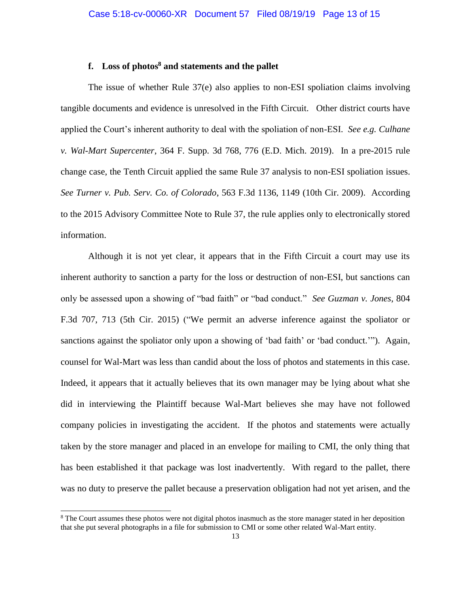## **f. Loss of photos<sup>8</sup> and statements and the pallet**

The issue of whether Rule 37(e) also applies to non-ESI spoliation claims involving tangible documents and evidence is unresolved in the Fifth Circuit. Other district courts have applied the Court's inherent authority to deal with the spoliation of non-ESI. *See e.g. Culhane v. Wal-Mart Supercenter*, 364 F. Supp. 3d 768, 776 (E.D. Mich. 2019). In a pre-2015 rule change case, the Tenth Circuit applied the same Rule 37 analysis to non-ESI spoliation issues. *See Turner v. Pub. Serv. Co. of Colorado*, 563 F.3d 1136, 1149 (10th Cir. 2009). According to the 2015 Advisory Committee Note to Rule 37, the rule applies only to electronically stored information.

Although it is not yet clear, it appears that in the Fifth Circuit a court may use its inherent authority to sanction a party for the loss or destruction of non-ESI, but sanctions can only be assessed upon a showing of "bad faith" or "bad conduct." *See Guzman v. Jones*, 804 F.3d 707, 713 (5th Cir. 2015) ("We permit an adverse inference against the spoliator or sanctions against the spoliator only upon a showing of 'bad faith' or 'bad conduct.'"). Again, counsel for Wal-Mart was less than candid about the loss of photos and statements in this case. Indeed, it appears that it actually believes that its own manager may be lying about what she did in interviewing the Plaintiff because Wal-Mart believes she may have not followed company policies in investigating the accident. If the photos and statements were actually taken by the store manager and placed in an envelope for mailing to CMI, the only thing that has been established it that package was lost inadvertently. With regard to the pallet, there was no duty to preserve the pallet because a preservation obligation had not yet arisen, and the

<sup>&</sup>lt;sup>8</sup> The Court assumes these photos were not digital photos inasmuch as the store manager stated in her deposition that she put several photographs in a file for submission to CMI or some other related Wal-Mart entity.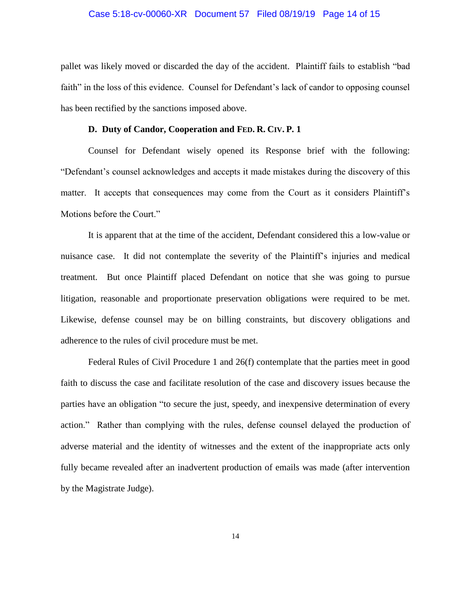#### Case 5:18-cv-00060-XR Document 57 Filed 08/19/19 Page 14 of 15

pallet was likely moved or discarded the day of the accident. Plaintiff fails to establish "bad faith" in the loss of this evidence. Counsel for Defendant's lack of candor to opposing counsel has been rectified by the sanctions imposed above.

#### **D. Duty of Candor, Cooperation and FED. R. CIV. P. 1**

Counsel for Defendant wisely opened its Response brief with the following: "Defendant's counsel acknowledges and accepts it made mistakes during the discovery of this matter. It accepts that consequences may come from the Court as it considers Plaintiff's Motions before the Court."

It is apparent that at the time of the accident, Defendant considered this a low-value or nuisance case. It did not contemplate the severity of the Plaintiff's injuries and medical treatment. But once Plaintiff placed Defendant on notice that she was going to pursue litigation, reasonable and proportionate preservation obligations were required to be met. Likewise, defense counsel may be on billing constraints, but discovery obligations and adherence to the rules of civil procedure must be met.

Federal Rules of Civil Procedure 1 and 26(f) contemplate that the parties meet in good faith to discuss the case and facilitate resolution of the case and discovery issues because the parties have an obligation "to secure the just, speedy, and inexpensive determination of every action." Rather than complying with the rules, defense counsel delayed the production of adverse material and the identity of witnesses and the extent of the inappropriate acts only fully became revealed after an inadvertent production of emails was made (after intervention by the Magistrate Judge).